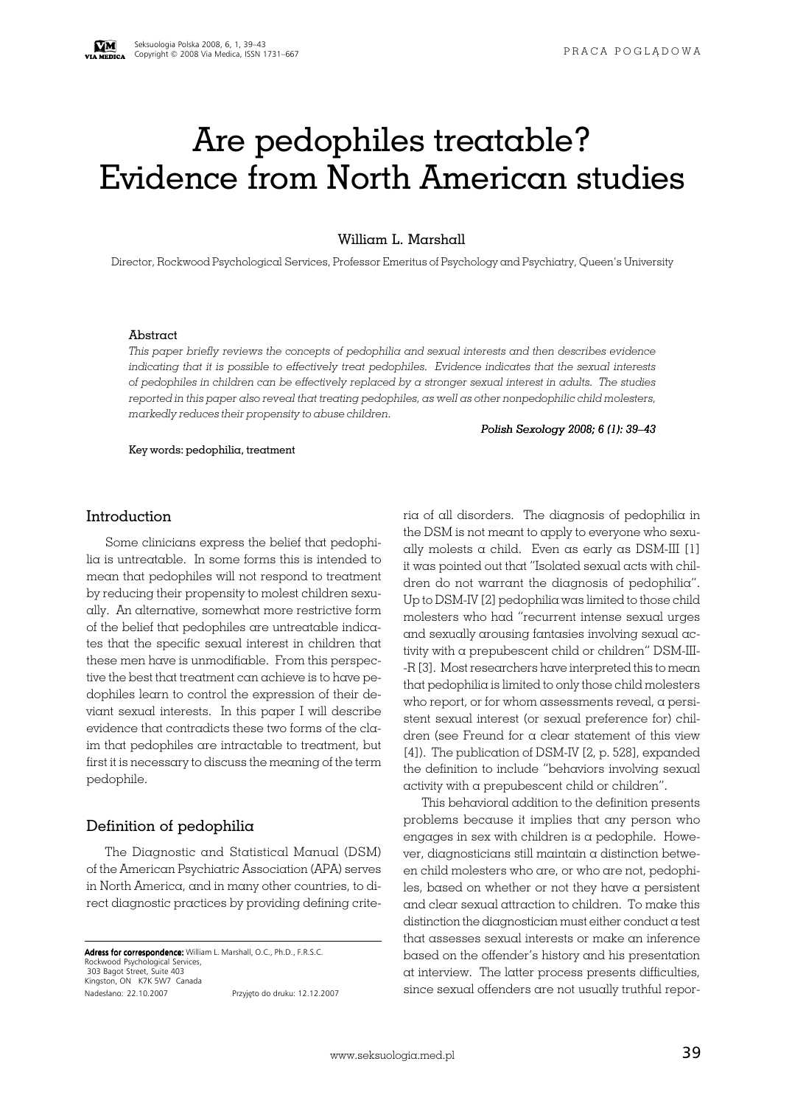# Are pedophiles treatable? Evidence from North American studies

William L. Marshall

Director, Rockwood Psychological Services, Professor Emeritus of Psychology and Psychiatry, Queen's University

#### Abstract

*This paper briefly reviews the concepts of pedophilia and sexual interests and then describes evidence indicating that it is possible to effectively treat pedophiles. Evidence indicates that the sexual interests of pedophiles in children can be effectively replaced by a stronger sexual interest in adults. The studies reported in this paper also reveal that treating pedophiles, as well as other nonpedophilic child molesters, markedly reduces their propensity to abuse children.*

Key words: pedophilia, treatment

*Polish Sexology 2008; 6 (1): 39–43*

#### Introduction

Some clinicians express the belief that pedophilia is untreatable. In some forms this is intended to mean that pedophiles will not respond to treatment by reducing their propensity to molest children sexually. An alternative, somewhat more restrictive form of the belief that pedophiles are untreatable indicates that the specific sexual interest in children that these men have is unmodifiable. From this perspective the best that treatment can achieve is to have pedophiles learn to control the expression of their deviant sexual interests. In this paper I will describe evidence that contradicts these two forms of the claim that pedophiles are intractable to treatment, but first it is necessary to discuss the meaning of the term pedophile.

#### Definition of pedophilia

The Diagnostic and Statistical Manual (DSM) of the American Psychiatric Association (APA) serves in North America, and in many other countries, to direct diagnostic practices by providing defining crite-

Adress for correspondence: William L. Marshall, O.C., Ph.D., F.R.S.C. Rockwood Psychological 303 Bagot Street, Suite 403 Kingston, ON K7K 5W7 Canada Nadesłano: 22.10.2007 Przyjęto do druku: 12.12.2007 ria of all disorders. The diagnosis of pedophilia in the DSM is not meant to apply to everyone who sexually molests  $\alpha$  child. Even as early as DSM-III [1] it was pointed out that "Isolated sexual acts with children do not warrant the diagnosis of pedophilia". Up to DSM-IV [2] pedophilia was limited to those child molesters who had "recurrent intense sexual urges and sexually arousing fantasies involving sexual activity with a prepubescent child or children" DSM-III- -R [3]. Most researchers have interpreted this to mean that pedophilia is limited to only those child molesters who report, or for whom assessments reveal, a persistent sexual interest (or sexual preference for) children (see Freund for a clear statement of this view [4]). The publication of DSM-IV [2, p. 528], expanded the definition to include "behaviors involving sexual activity with a prepubescent child or children".

This behavioral addition to the definition presents problems because it implies that any person who engages in sex with children is a pedophile. However, diagnosticians still maintain a distinction between child molesters who are, or who are not, pedophiles, based on whether or not they have a persistent and clear sexual attraction to children. To make this distinction the diagnostician must either conduct a test that assesses sexual interests or make an inference based on the offender's history and his presentation at interview. The latter process presents difficulties, since sexual offenders are not usually truthful repor-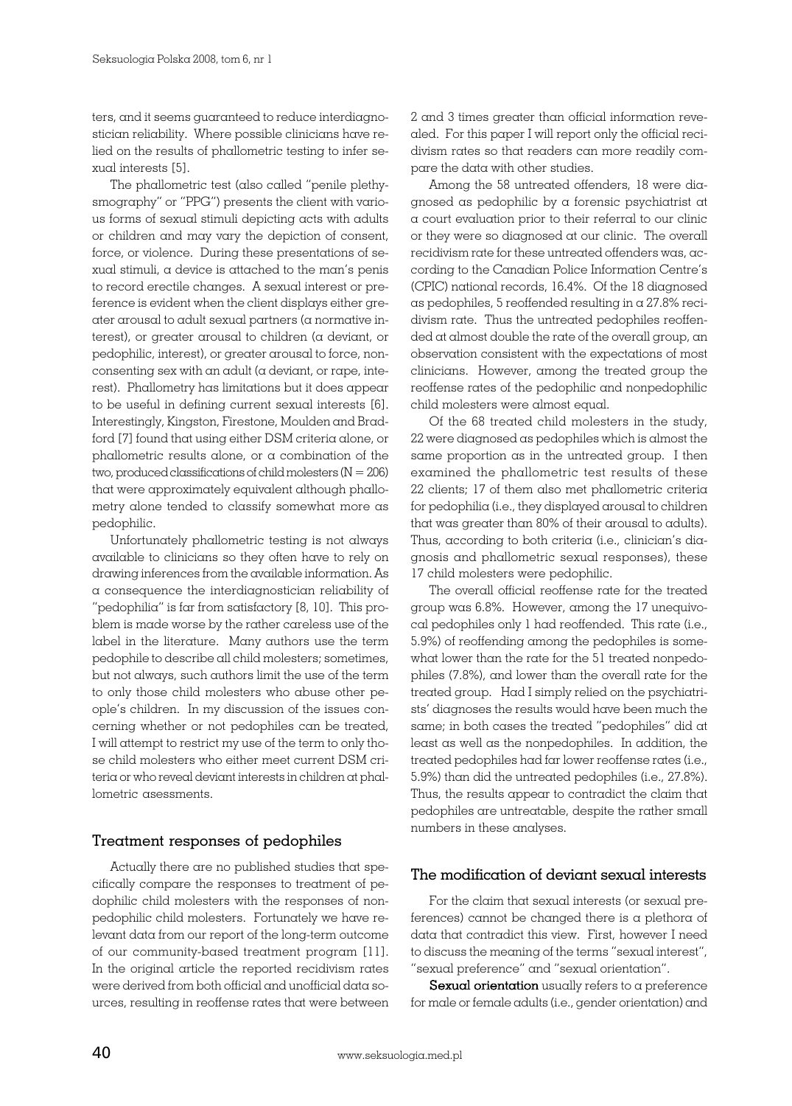ters, and it seems guaranteed to reduce interdiagnostician reliability. Where possible clinicians have relied on the results of phallometric testing to infer sexual interests [5].

The phallometric test (also called "penile plethysmography" or "PPG") presents the client with various forms of sexual stimuli depicting acts with adults or children and may vary the depiction of consent, force, or violence. During these presentations of sexual stimuli, a device is attached to the man's penis to record erectile changes. A sexual interest or preference is evident when the client displays either greater arousal to adult sexual partners (a normative interest), or greater arousal to children (a deviant, or pedophilic, interest), or greater arousal to force, nonconsenting sex with an adult ( $\alpha$  deviant, or rape, interest). Phallometry has limitations but it does appear to be useful in defining current sexual interests [6]. Interestingly, Kingston, Firestone, Moulden and Bradford [7] found that using either DSM criteria alone, or phallometric results alone, or a combination of the two, produced classifications of child molesters  $(N = 206)$ that were approximately equivalent although phallometry alone tended to classify somewhat more as pedophilic.

Unfortunately phallometric testing is not always available to clinicians so they often have to rely on drawing inferences from the available information. As a consequence the interdiagnostician reliability of "pedophilia" is far from satisfactory [8, 10]. This problem is made worse by the rather careless use of the label in the literature. Many authors use the term pedophile to describe all child molesters; sometimes, but not always, such authors limit the use of the term to only those child molesters who abuse other people's children. In my discussion of the issues concerning whether or not pedophiles can be treated, I will attempt to restrict my use of the term to only those child molesters who either meet current DSM criteria or who reveal deviant interests in children at phallometric asessments.

## Treatment responses of pedophiles

Actually there are no published studies that specifically compare the responses to treatment of pedophilic child molesters with the responses of nonpedophilic child molesters. Fortunately we have relevant data from our report of the long-term outcome of our community-based treatment program [11]. In the original article the reported recidivism rates were derived from both official and unofficial data sources, resulting in reoffense rates that were between 2 and 3 times greater than official information revealed. For this paper I will report only the official recidivism rates so that readers can more readily compare the data with other studies.

Among the 58 untreated offenders, 18 were diagnosed as pedophilic by a forensic psychiatrist at a court evaluation prior to their referral to our clinic or they were so diagnosed at our clinic. The overall recidivism rate for these untreated offenders was, according to the Canadian Police Information Centre's (CPIC) national records, 16.4%. Of the 18 diagnosed as pedophiles, 5 reoffended resulting in a 27.8% recidivism rate. Thus the untreated pedophiles reoffended at almost double the rate of the overall group, an observation consistent with the expectations of most clinicians. However, among the treated group the reoffense rates of the pedophilic and nonpedophilic child molesters were almost equal.

Of the 68 treated child molesters in the study, 22 were diagnosed as pedophiles which is almost the same proportion as in the untreated group. I then examined the phallometric test results of these 22 clients; 17 of them also met phallometric criteria for pedophilia (i.e., they displayed arousal to children that was greater than 80% of their arousal to adults). Thus, according to both criteria (i.e., clinician's diagnosis and phallometric sexual responses), these 17 child molesters were pedophilic.

The overall official reoffense rate for the treated group was 6.8%. However, among the 17 unequivocal pedophiles only 1 had reoffended. This rate (i.e., 5.9%) of reoffending among the pedophiles is somewhat lower than the rate for the 51 treated nonpedophiles (7.8%), and lower than the overall rate for the treated group. Had I simply relied on the psychiatrists' diagnoses the results would have been much the same; in both cases the treated "pedophiles" did at least as well as the nonpedophiles. In addition, the treated pedophiles had far lower reoffense rates (i.e., 5.9%) than did the untreated pedophiles (i.e., 27.8%). Thus, the results appear to contradict the claim that pedophiles are untreatable, despite the rather small numbers in these analyses.

## The modification of deviant sexual interests

For the claim that sexual interests (or sexual preferences) cannot be changed there is a plethora of data that contradict this view. First, however I need to discuss the meaning of the terms "sexual interest", "sexual preference" and "sexual orientation".

**Sexual orientation** usually refers to a preference for male or female adults (i.e., gender orientation) and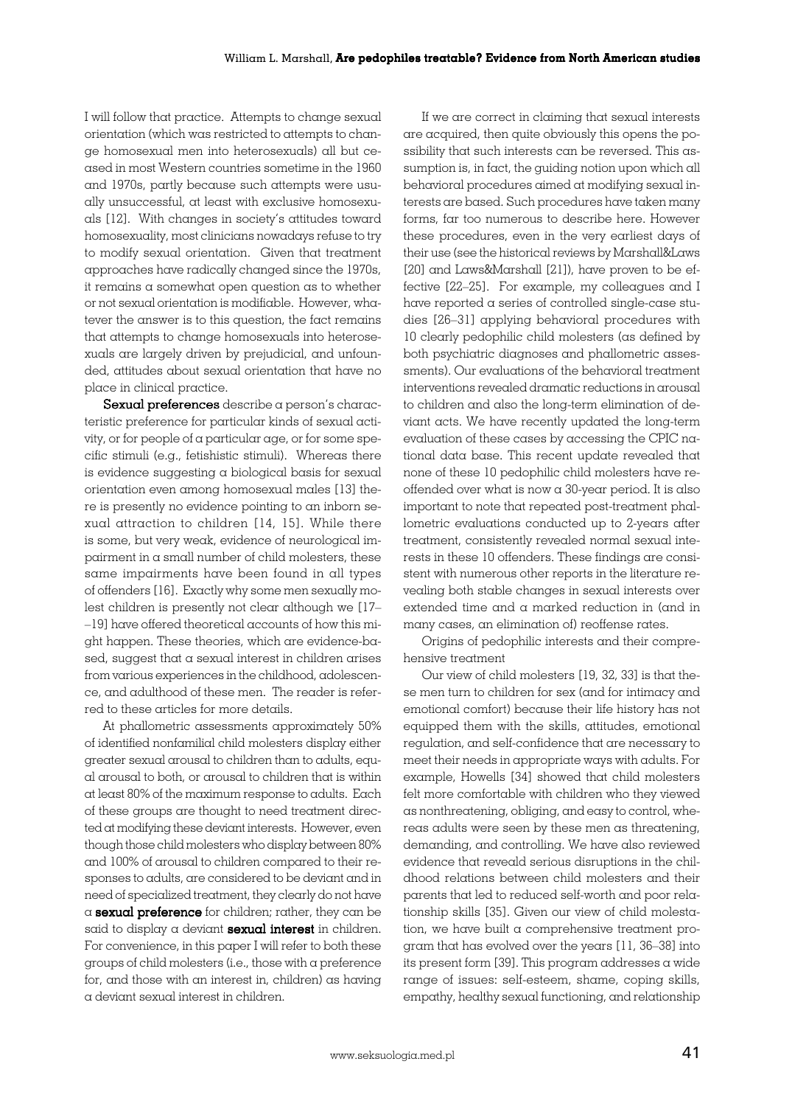I will follow that practice. Attempts to change sexual orientation (which was restricted to attempts to change homosexual men into heterosexuals) all but ceased in most Western countries sometime in the 1960 and 1970s, partly because such attempts were usually unsuccessful, at least with exclusive homosexuals [12]. With changes in society's attitudes toward homosexuality, most clinicians nowadays refuse to try to modify sexual orientation. Given that treatment approaches have radically changed since the 1970s, it remains a somewhat open question as to whether or not sexual orientation is modifiable. However, whatever the answer is to this question, the fact remains that attempts to change homosexuals into heterosexuals are largely driven by prejudicial, and unfounded, attitudes about sexual orientation that have no place in clinical practice.

Sexual preferences describe a person's characteristic preference for particular kinds of sexual activity, or for people of a particular age, or for some specific stimuli (e.g., fetishistic stimuli). Whereas there is evidence suggesting a biological basis for sexual orientation even among homosexual males [13] there is presently no evidence pointing to an inborn sexual attraction to children [14, 15]. While there is some, but very weak, evidence of neurological im $p$ airment in  $\alpha$  small number of child molesters, these same impairments have been found in all types of offenders [16]. Exactly why some men sexually molest children is presently not clear although we [17– –19] have offered theoretical accounts of how this might happen. These theories, which are evidence-based, suggest that a sexual interest in children arises from various experiences in the childhood, adolescence, and adulthood of these men. The reader is referred to these articles for more details.

At phallometric assessments approximately 50% of identified nonfamilial child molesters display either greater sexual arousal to children than to adults, equal arousal to both, or arousal to children that is within at least 80% of the maximum response to adults. Each of these groups are thought to need treatment directed at modifying these deviant interests. However, even though those child molesters who display between 80% and 100% of arousal to children compared to their responses to adults, are considered to be deviant and in need of specialized treatment, they clearly do not have  $\alpha$  sexual preference for children; rather, they can be said to display a deviant sexual interest in children. For convenience, in this paper I will refer to both these groups of child molesters (i.e., those with a preference for, and those with an interest in, children) as having a deviant sexual interest in children.

If we are correct in claiming that sexual interests are acquired, then quite obviously this opens the possibility that such interests can be reversed. This assumption is, in fact, the guiding notion upon which all behavioral procedures aimed at modifying sexual interests are based. Such procedures have taken many forms, far too numerous to describe here. However these procedures, even in the very earliest days of their use (see the historical reviews by Marshall&Laws [20] and Laws&Marshall [21]), have proven to be effective [22–25]. For example, my colleagues and I have reported a series of controlled single-case studies [26–31] applying behavioral procedures with 10 clearly pedophilic child molesters (as defined by both psychiatric diagnoses and phallometric assessments). Our evaluations of the behavioral treatment interventions revealed dramatic reductions in arousal to children and also the long-term elimination of deviant acts. We have recently updated the long-term evaluation of these cases by accessing the CPIC national data base. This recent update revealed that none of these 10 pedophilic child molesters have reoffended over what is now a 30-year period. It is also important to note that repeated post-treatment phallometric evaluations conducted up to 2-years after treatment, consistently revealed normal sexual interests in these 10 offenders. These findings are consistent with numerous other reports in the literature revealing both stable changes in sexual interests over extended time and a marked reduction in (and in many cases, an elimination of) reoffense rates.

Origins of pedophilic interests and their comprehensive treatment

Our view of child molesters [19, 32, 33] is that these men turn to children for sex (and for intimacy and emotional comfort) because their life history has not equipped them with the skills, attitudes, emotional regulation, and self-confidence that are necessary to meet their needs in appropriate ways with adults. For example, Howells [34] showed that child molesters felt more comfortable with children who they viewed as nonthreatening, obliging, and easy to control, whereas adults were seen by these men as threatening, demanding, and controlling. We have also reviewed evidence that reveald serious disruptions in the childhood relations between child molesters and their parents that led to reduced self-worth and poor relationship skills [35]. Given our view of child molestation, we have built a comprehensive treatment program that has evolved over the years [11, 36–38] into its present form [39]. This program addresses a wide range of issues: self-esteem, shame, coping skills, empathy, healthy sexual functioning, and relationship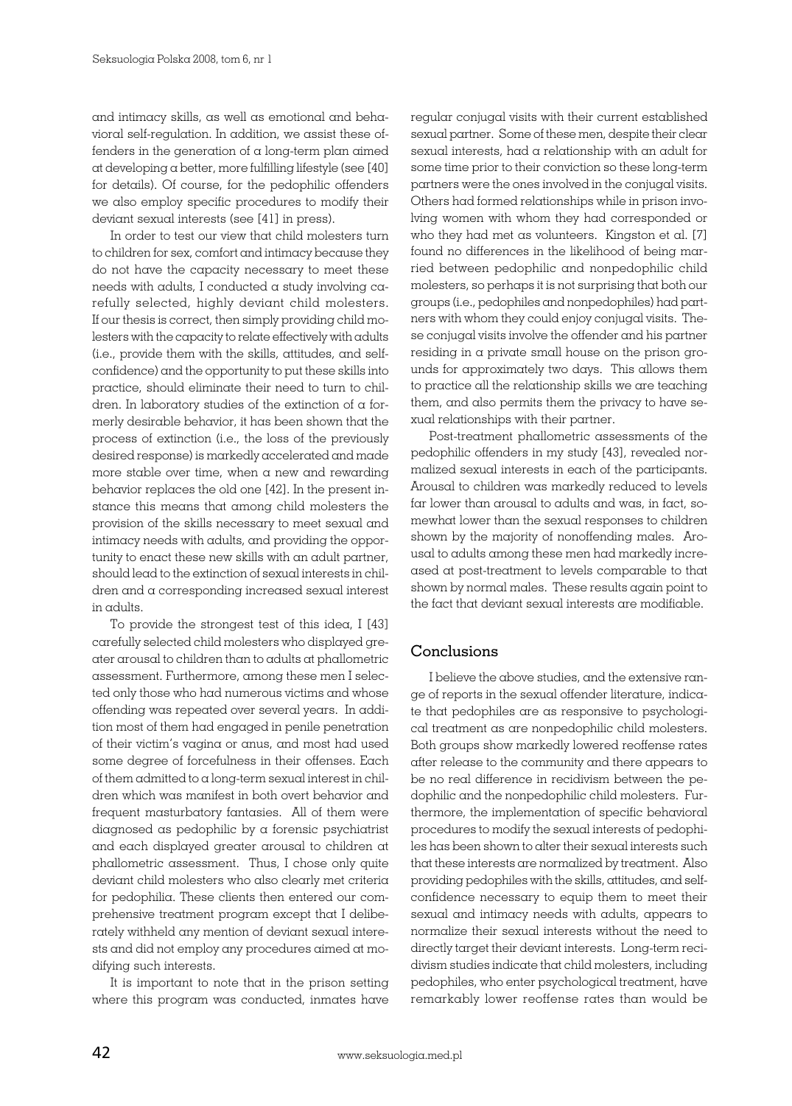and intimacy skills, as well as emotional and behavioral self-regulation. In addition, we assist these offenders in the generation of a long-term plan aimed at developing a better, more fulfilling lifestyle (see [40] for details). Of course, for the pedophilic offenders we also employ specific procedures to modify their deviant sexual interests (see [41] in press).

In order to test our view that child molesters turn to children for sex, comfort and intimacy because they do not have the capacity necessary to meet these needs with adults, I conducted a study involving carefully selected, highly deviant child molesters. If our thesis is correct, then simply providing child molesters with the capacity to relate effectively with adults (i.e., provide them with the skills, attitudes, and selfconfidence) and the opportunity to put these skills into practice, should eliminate their need to turn to children. In laboratory studies of the extinction of a formerly desirable behavior, it has been shown that the process of extinction (i.e., the loss of the previously desired response) is markedly accelerated and made more stable over time, when a new and rewarding behavior replaces the old one [42]. In the present instance this means that among child molesters the provision of the skills necessary to meet sexual and intimacy needs with adults, and providing the opportunity to enact these new skills with an adult partner, should lead to the extinction of sexual interests in children and a corresponding increased sexual interest in adults.

To provide the strongest test of this idea, I [43] carefully selected child molesters who displayed greater arousal to children than to adults at phallometric assessment. Furthermore, among these men I selected only those who had numerous victims and whose offending was repeated over several years. In addition most of them had engaged in penile penetration of their victim's vagina or anus, and most had used some degree of forcefulness in their offenses. Each of them admitted to a long-term sexual interest in children which was manifest in both overt behavior and frequent masturbatory fantasies. All of them were diagnosed as pedophilic by a forensic psychiatrist and each displayed greater arousal to children at phallometric assessment. Thus, I chose only quite deviant child molesters who also clearly met criteria for pedophilia. These clients then entered our comprehensive treatment program except that I deliberately withheld any mention of deviant sexual interests and did not employ any procedures aimed at modifying such interests.

It is important to note that in the prison setting where this program was conducted, inmates have regular conjugal visits with their current established sexual partner. Some of these men, despite their clear sexual interests, had a relationship with an adult for some time prior to their conviction so these long-term partners were the ones involved in the conjugal visits. Others had formed relationships while in prison involving women with whom they had corresponded or who they had met as volunteers. Kingston et al. [7] found no differences in the likelihood of being married between pedophilic and nonpedophilic child molesters, so perhaps it is not surprising that both our groups (i.e., pedophiles and nonpedophiles) had partners with whom they could enjoy conjugal visits. These conjugal visits involve the offender and his partner residing in a private small house on the prison grounds for approximately two days. This allows them to practice all the relationship skills we are teaching them, and also permits them the privacy to have sexual relationships with their partner.

Post-treatment phallometric assessments of the pedophilic offenders in my study [43], revealed normalized sexual interests in each of the participants. Arousal to children was markedly reduced to levels far lower than arousal to adults and was, in fact, somewhat lower than the sexual responses to children shown by the majority of nonoffending males. Arousal to adults among these men had markedly increased at post-treatment to levels comparable to that shown by normal males. These results again point to the fact that deviant sexual interests are modifiable.

## Conclusions

I believe the above studies, and the extensive range of reports in the sexual offender literature, indicate that pedophiles are as responsive to psychological treatment as are nonpedophilic child molesters. Both groups show markedly lowered reoffense rates after release to the community and there appears to be no real difference in recidivism between the pedophilic and the nonpedophilic child molesters. Furthermore, the implementation of specific behavioral procedures to modify the sexual interests of pedophiles has been shown to alter their sexual interests such that these interests are normalized by treatment. Also providing pedophiles with the skills, attitudes, and selfconfidence necessary to equip them to meet their sexual and intimacy needs with adults, appears to normalize their sexual interests without the need to directly target their deviant interests. Long-term recidivism studies indicate that child molesters, including pedophiles, who enter psychological treatment, have remarkably lower reoffense rates than would be